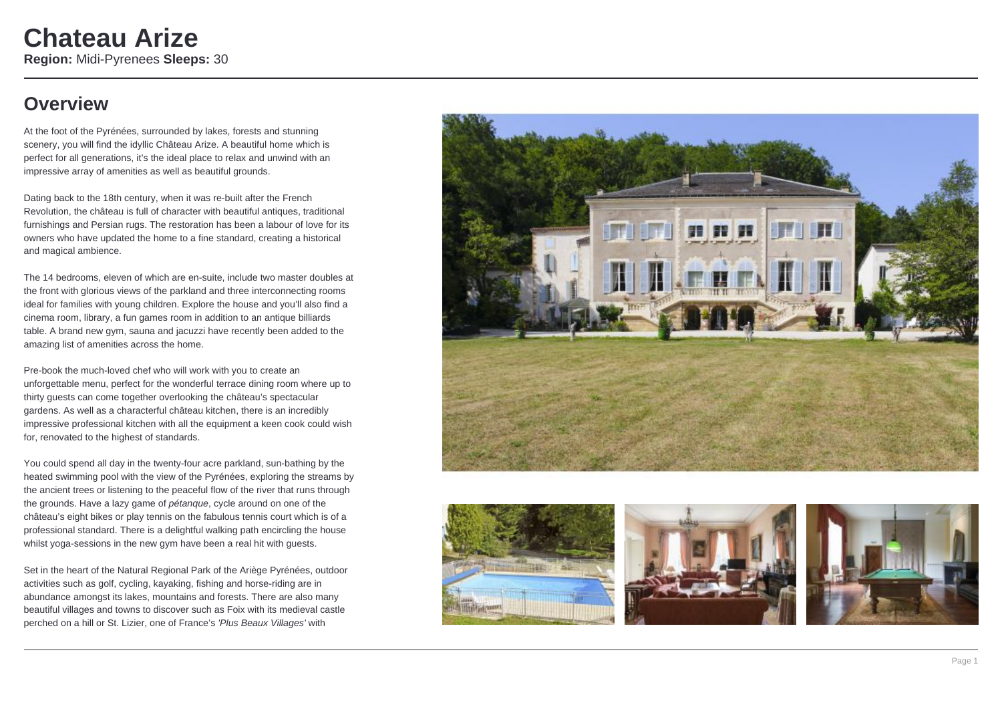## **Overview**

At the foot of the Pyrénées, surrounded by lakes, forests and stunning scenery, you will find the idyllic Château Arize. A beautiful home which is perfect for all generations, it's the ideal place to relax and unwind with an impressive array of amenities as well as beautiful grounds.

Dating back to the 18th century, when it was re-built after the French Revolution, the château is full of character with beautiful antiques, traditional furnishings and Persian rugs. The restoration has been a labour of love for its owners who have updated the home to a fine standard, creating a historical and magical ambience.

The 14 bedrooms, eleven of which are en-suite, include two master doubles at the front with glorious views of the parkland and three interconnecting rooms ideal for families with young children. Explore the house and you'll also find a cinema room, library, a fun games room in addition to an antique billiards table. A brand new gym, sauna and jacuzzi have recently been added to the amazing list of amenities across the home.

Pre-book the much-loved chef who will work with you to create an unforgettable menu, perfect for the wonderful terrace dining room where up to thirty guests can come together overlooking the château's spectacular gardens. As well as a characterful château kitchen, there is an incredibly impressive professional kitchen with all the equipment a keen cook could wish for, renovated to the highest of standards.

You could spend all day in the twenty-four acre parkland, sun-bathing by the heated swimming pool with the view of the Pyrénées, exploring the streams by the ancient trees or listening to the peaceful flow of the river that runs through the grounds. Have a lazy game of pétanque, cycle around on one of the château's eight bikes or play tennis on the fabulous tennis court which is of a professional standard. There is a delightful walking path encircling the house whilst yoga-sessions in the new gym have been a real hit with guests.

Set in the heart of the Natural Regional Park of the Ariège Pyrénées, outdoor activities such as golf, cycling, kayaking, fishing and horse-riding are in abundance amongst its lakes, mountains and forests. There are also many beautiful villages and towns to discover such as Foix with its medieval castle perched on a hill or St. Lizier, one of France's 'Plus Beaux Villages' with







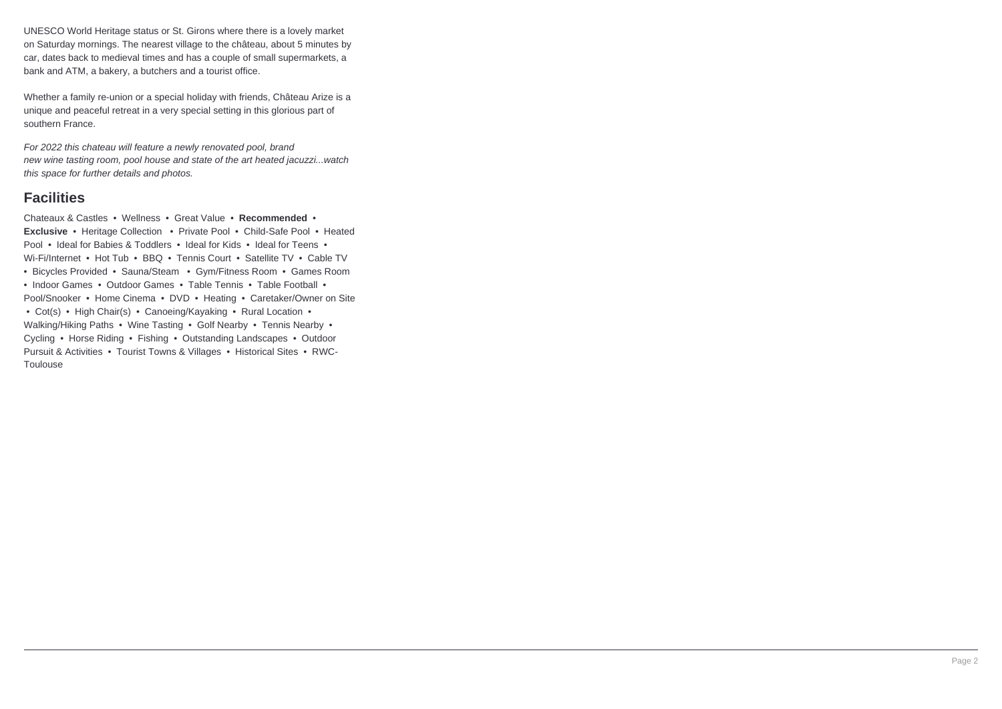UNESCO World Heritage status or St. Girons where there is a lovely market on Saturday mornings. The nearest village to the château, about 5 minutes by car, dates back to medieval times and has a couple of small supermarkets, a bank and ATM, a bakery, a butchers and a tourist office.

Whether a family re-union or a special holiday with friends, Château Arize is a unique and peaceful retreat in a very special setting in this glorious part of southern France.

For 2022 this chateau will feature a newly renovated pool, brand new wine tasting room, pool house and state of the art heated jacuzzi...watch this space for further details and photos.

### **Facilities**

Chateaux & Castles • Wellness • Great Value • **Recommended** • **Exclusive** • Heritage Collection • Private Pool • Child-Safe Pool • Heated Pool • Ideal for Babies & Toddlers • Ideal for Kids • Ideal for Teens • Wi-Fi/Internet • Hot Tub • BBQ • Tennis Court • Satellite TV • Cable TV • Bicycles Provided • Sauna/Steam • Gym/Fitness Room • Games Room • Indoor Games • Outdoor Games • Table Tennis • Table Football • Pool/Snooker • Home Cinema • DVD • Heating • Caretaker/Owner on Site • Cot(s) • High Chair(s) • Canoeing/Kayaking • Rural Location • Walking/Hiking Paths • Wine Tasting • Golf Nearby • Tennis Nearby • Cycling • Horse Riding • Fishing • Outstanding Landscapes • Outdoor Pursuit & Activities • Tourist Towns & Villages • Historical Sites • RWC-Toulouse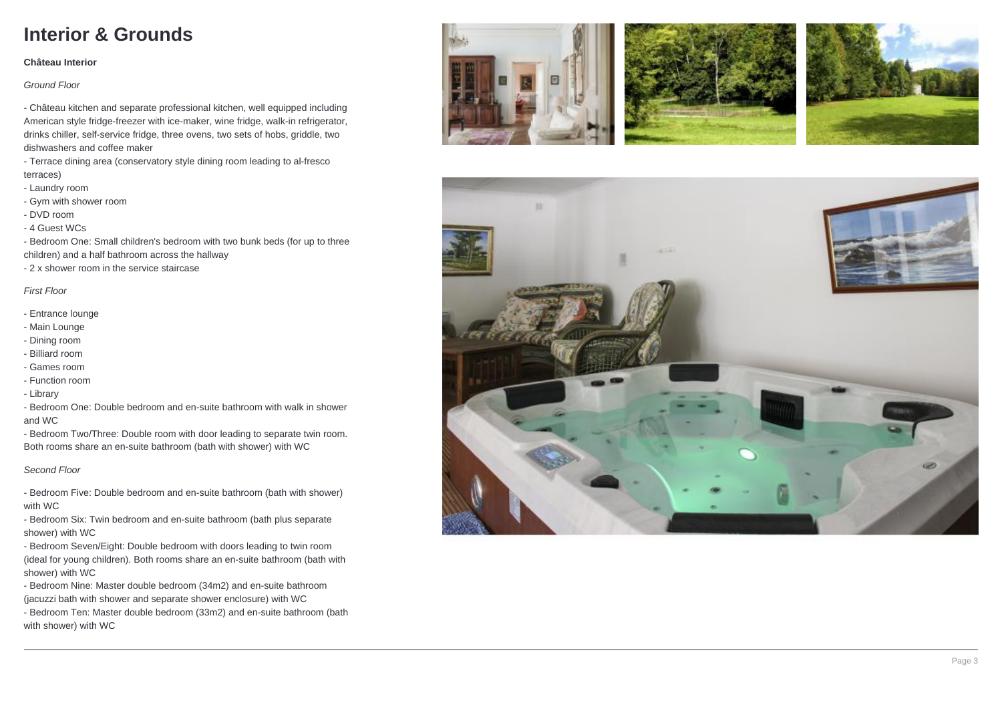## **Interior & Grounds**

#### **Château Interior**

#### Ground Floor

- Château kitchen and separate professional kitchen, well equipped including American style fridge-freezer with ice-maker, wine fridge, walk-in refrigerator, drinks chiller, self-service fridge, three ovens, two sets of hobs, griddle, two dishwashers and coffee maker

- Terrace dining area (conservatory style dining room leading to al-fresco terraces)

- Laundry room
- Gym with shower room
- DVD room
- 4 Guest WCs

- Bedroom One: Small children's bedroom with two bunk beds (for up to three children) and a half bathroom across the hallway

- 2 x shower room in the service staircase

### First Floor

- Entrance lounge
- Main Lounge
- Dining room
- Billiard room
- Games room
- Function room
- Library
- Bedroom One: Double bedroom and en-suite bathroom with walk in shower and WC

- Bedroom Two/Three: Double room with door leading to separate twin room. Both rooms share an en-suite bathroom (bath with shower) with WC

#### Second Floor

- Bedroom Five: Double bedroom and en-suite bathroom (bath with shower) with WC

- Bedroom Six: Twin bedroom and en-suite bathroom (bath plus separate shower) with WC

- Bedroom Seven/Eight: Double bedroom with doors leading to twin room (ideal for young children). Both rooms share an en-suite bathroom (bath with shower) with WC

- Bedroom Nine: Master double bedroom (34m2) and en-suite bathroom (jacuzzi bath with shower and separate shower enclosure) with WC

- Bedroom Ten: Master double bedroom (33m2) and en-suite bathroom (bath with shower) with WC







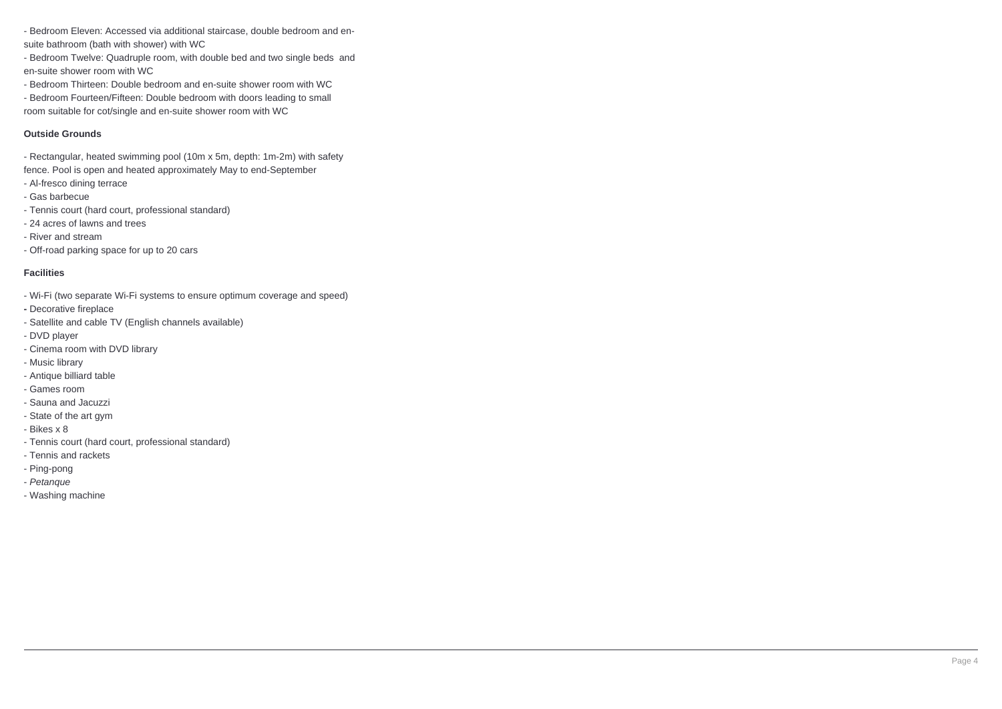- Bedroom Eleven: Accessed via additional staircase, double bedroom and ensuite bathroom (bath with shower) with WC

- Bedroom Twelve: Quadruple room, with double bed and two single beds and en-suite shower room with WC

- Bedroom Thirteen: Double bedroom and en-suite shower room with WC

- Bedroom Fourteen/Fifteen: Double bedroom with doors leading to small room suitable for cot/single and en-suite shower room with WC

#### **Outside Grounds**

- Rectangular, heated swimming pool (10m x 5m, depth: 1m-2m) with safety fence. Pool is open and heated approximately May to end-September

- Al-fresco dining terrace
- Gas barbecue
- Tennis court (hard court, professional standard)
- 24 acres of lawns and trees
- River and stream
- Off-road parking space for up to 20 cars

### **Facilities**

- Wi-Fi (two separate Wi-Fi systems to ensure optimum coverage and speed)
- **-** Decorative fireplace
- Satellite and cable TV (English channels available)
- DVD player
- Cinema room with DVD library
- Music library
- Antique billiard table
- Games room
- Sauna and Jacuzzi
- State of the art gym
- Bikes x 8
- Tennis court (hard court, professional standard)
- Tennis and rackets
- Ping-pong
- Petanque
- Washing machine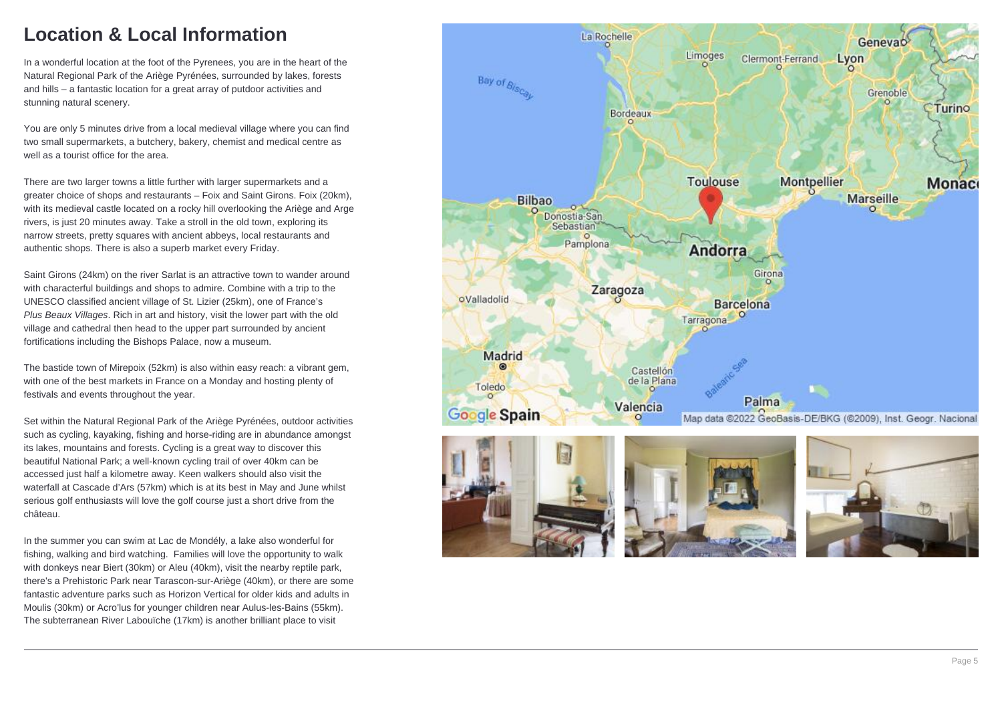## **Location & Local Information**

In a wonderful location at the foot of the Pyrenees, you are in the heart of the Natural Regional Park of the Ariège Pyrénées, surrounded by lakes, forests and hills – a fantastic location for a great array of putdoor activities and stunning natural scenery.

You are only 5 minutes drive from a local medieval village where you can find two small supermarkets, a butchery, bakery, chemist and medical centre as well as a tourist office for the area.

There are two larger towns a little further with larger supermarkets and a greater choice of shops and restaurants – Foix and Saint Girons. Foix (20km), with its medieval castle located on a rocky hill overlooking the Ariège and Arge rivers, is just 20 minutes away. Take a stroll in the old town, exploring its narrow streets, pretty squares with ancient abbeys, local restaurants and authentic shops. There is also a superb market every Friday.

Saint Girons (24km) on the river Sarlat is an attractive town to wander around with characterful buildings and shops to admire. Combine with a trip to the UNESCO classified ancient village of St. Lizier (25km), one of France's Plus Beaux Villages. Rich in art and history, visit the lower part with the old village and cathedral then head to the upper part surrounded by ancient fortifications including the Bishops Palace, now a museum.

The bastide town of Mirepoix (52km) is also within easy reach: a vibrant gem, with one of the best markets in France on a Monday and hosting plenty of festivals and events throughout the year.

Set within the Natural Regional Park of the Ariège Pyrénées, outdoor activities such as cycling, kayaking, fishing and horse-riding are in abundance amongst its lakes, mountains and forests. Cycling is a great way to discover this beautiful National Park; a well-known cycling trail of over 40km can be accessed just half a kilometre away. Keen walkers should also visit the waterfall at Cascade d'Ars (57km) which is at its best in May and June whilst serious golf enthusiasts will love the golf course just a short drive from the château.

In the summer you can swim at Lac de Mondély, a lake also wonderful for fishing, walking and bird watching. Families will love the opportunity to walk with donkeys near Biert (30km) or Aleu (40km), visit the nearby reptile park, there's a Prehistoric Park near Tarascon-sur-Ariège (40km), or there are some fantastic adventure parks such as Horizon Vertical for older kids and adults in Moulis (30km) or Acro'lus for younger children near Aulus-les-Bains (55km). The subterranean River Labouïche (17km) is another brilliant place to visit

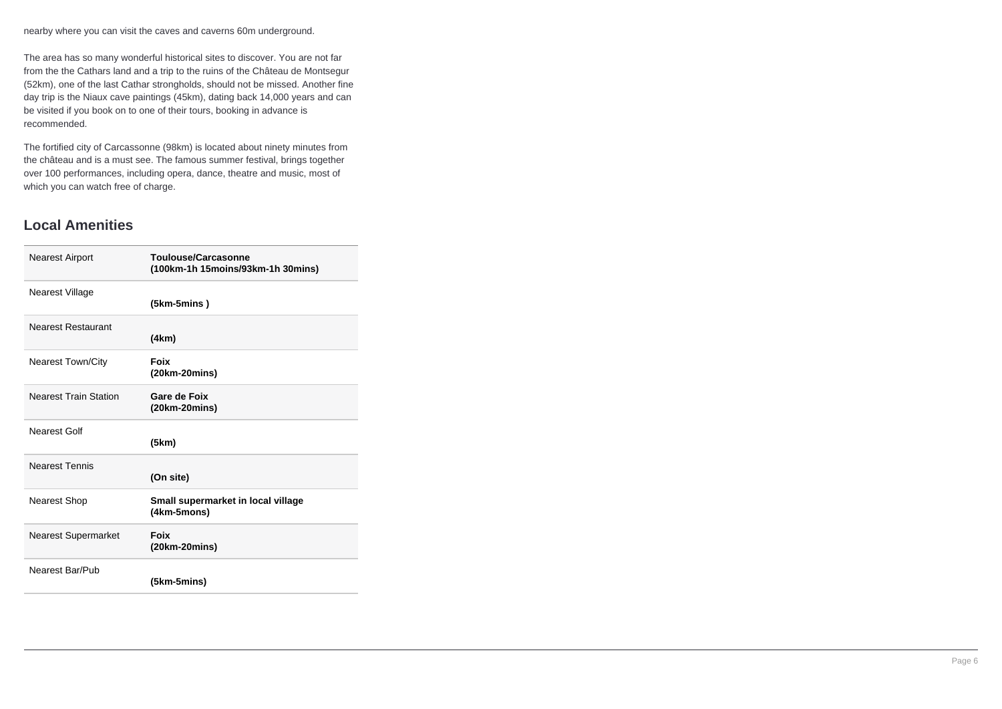nearby where you can visit the caves and caverns 60m underground.

The area has so many wonderful historical sites to discover. You are not far from the the Cathars land and a trip to the ruins of the Château de Montsegur (52km), one of the last Cathar strongholds, should not be missed. Another fine day trip is the Niaux cave paintings (45km), dating back 14,000 years and can be visited if you book on to one of their tours, booking in advance is recommended.

The fortified city of Carcassonne (98km) is located about ninety minutes from the château and is a must see. The famous summer festival, brings together over 100 performances, including opera, dance, theatre and music, most of which you can watch free of charge.

### **Local Amenities**

| <b>Nearest Airport</b>       | Toulouse/Carcasonne<br>(100km-1h 15moins/93km-1h 30mins) |
|------------------------------|----------------------------------------------------------|
| Nearest Village              | (5km-5mins)                                              |
| <b>Nearest Restaurant</b>    | (4km)                                                    |
| <b>Nearest Town/City</b>     | Foix<br>(20km-20mins)                                    |
| <b>Nearest Train Station</b> | Gare de Foix<br>$(20km-20mins)$                          |
| Nearest Golf                 | (5km)                                                    |
| <b>Nearest Tennis</b>        | (On site)                                                |
| <b>Nearest Shop</b>          | Small supermarket in local village<br>(4km-5mons)        |
| <b>Nearest Supermarket</b>   | Foix<br>(20km-20mins)                                    |
| Nearest Bar/Pub              | (5km-5mins)                                              |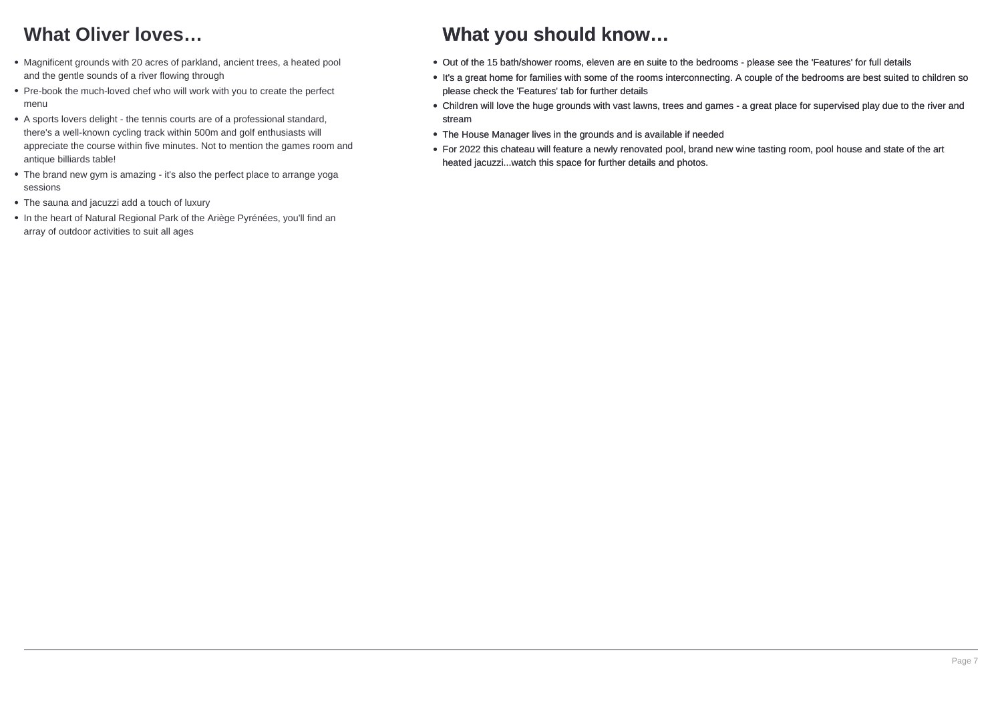# **What Oliver loves…**

- Magnificent grounds with 20 acres of parkland, ancient trees, a heated pool and the gentle sounds of a river flowing through
- Pre-book the much-loved chef who will work with you to create the perfect menu
- A sports lovers delight the tennis courts are of a professional standard, there's a well-known cycling track within 500m and golf enthusiasts will appreciate the course within five minutes. Not to mention the games room and antique billiards table!
- The brand new gym is amazing it's also the perfect place to arrange yoga sessions
- The sauna and jacuzzi add a touch of luxury
- In the heart of Natural Regional Park of the Ariège Pyrénées, you'll find an array of outdoor activities to suit all ages

### **What you should know…**

- Out of the 15 bath/shower rooms, eleven are en suite to the bedrooms please see the 'Features' for full details
- It's a great home for families with some of the rooms interconnecting. A couple of the bedrooms are best suited to children so please check the 'Features' tab for further details
- Children will love the huge grounds with vast lawns, trees and games a great place for supervised play due to the river and stream
- The House Manager lives in the grounds and is available if needed
- For 2022 this chateau will feature a newly renovated pool, brand new wine tasting room, pool house and state of the art heated jacuzzi...watch this space for further details and photos.